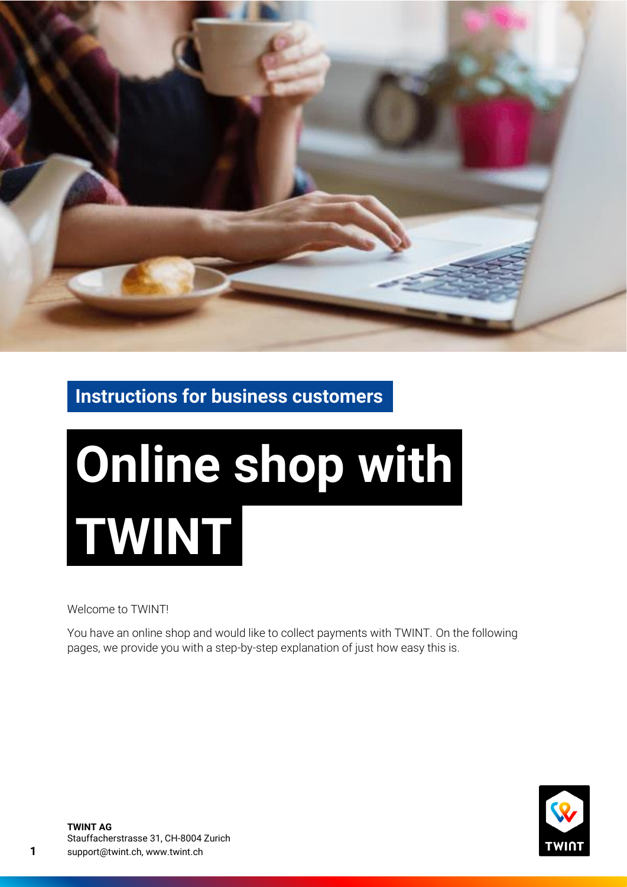

**Instructions for business customers**

# **Online shop with TWINT**

Welcome to TWINT!

You have an online shop and would like to collect payments with TWINT. On the following pages, we provide you with a step-by-step explanation of just how easy this is.

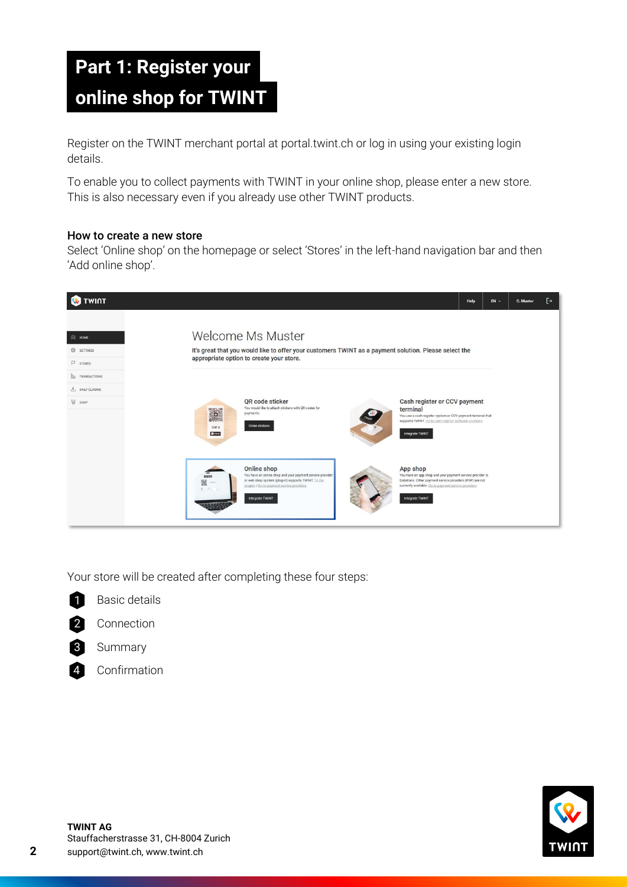# **Part 1: Register your online shop for TWINT**

Register on the TWINT merchant portal at portal.twint.ch or log in using your existing login details.

To enable you to collect payments with TWINT in your online shop, please enter a new store. This is also necessary even if you already use other TWINT products.

## How to create a new store

Select 'Online shop' on the homepage or select 'Stores' in the left-hand navigation bar and then 'Add online shop'.



Your store will be created after completing these four steps:

Basic details



Connection 2



Summary

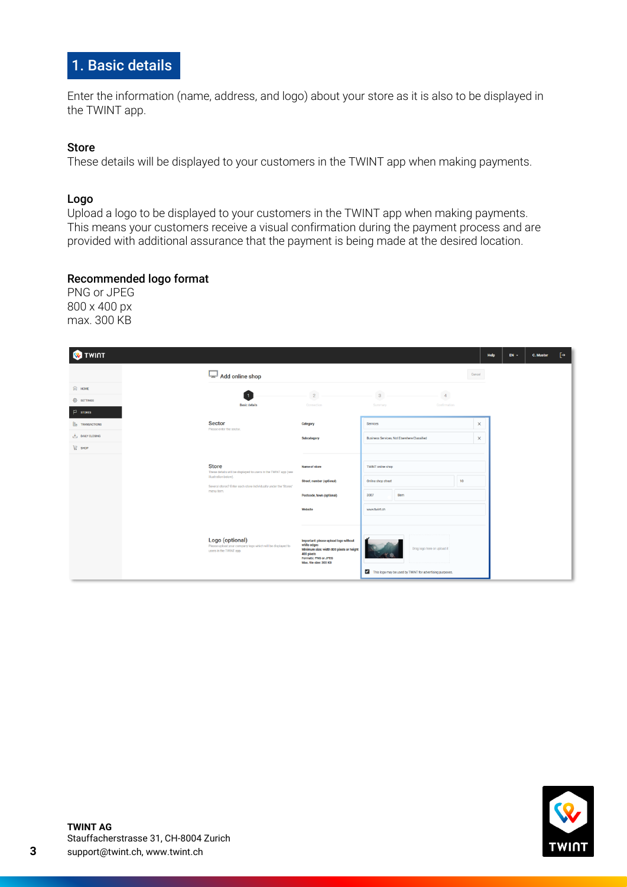## 1. Basic details

Enter the information (name, address, and logo) about your store as it is also to be displayed in the TWINT app.

## Store

These details will be displayed to your customers in the TWINT app when making payments.

#### Logo

Upload a logo to be displayed to your customers in the TWINT app when making payments. This means your customers receive a visual confirmation during the payment process and are provided with additional assurance that the payment is being made at the desired location.

## Recommended logo format

PNG or JPEG 800 x 400 px max. 300 KB

| <b>W</b> TWINT                     |                                                                                                          |                                                                                                                                                                  |                                                          | Help     | $EN -$ | C. Muster | [→ |
|------------------------------------|----------------------------------------------------------------------------------------------------------|------------------------------------------------------------------------------------------------------------------------------------------------------------------|----------------------------------------------------------|----------|--------|-----------|----|
|                                    | $\mathbb{L}$ Add online shop                                                                             |                                                                                                                                                                  | Cancel                                                   |          |        |           |    |
| $\widehat{[Q]}$ HOME               |                                                                                                          | $\overline{2}$                                                                                                                                                   |                                                          |          |        |           |    |
| <sup>3</sup> SETTINGS              | $\overline{1}$<br><b>Basic details</b>                                                                   | Connection                                                                                                                                                       | $\overline{3}$<br>$\Delta$<br>Summary<br>Confirmation    |          |        |           |    |
| $P$ stores                         |                                                                                                          |                                                                                                                                                                  |                                                          |          |        |           |    |
| <b>ID</b> TRANSACTIONS             | <b>Sector</b><br>Please enter the sector.                                                                | Category                                                                                                                                                         | Services                                                 | $\times$ |        |           |    |
| $\frac{1}{\sqrt{2}}$ DAILY CLOSING |                                                                                                          | Subcategory                                                                                                                                                      | Business Services, Not Elsewhere Classified              | $\times$ |        |           |    |
| 급 sHOP                             |                                                                                                          |                                                                                                                                                                  |                                                          |          |        |           |    |
|                                    | <b>Store</b>                                                                                             | Name of store                                                                                                                                                    | <b>TWINT</b> online shop                                 |          |        |           |    |
|                                    | These details will be displayed to users in the TWINT app (see<br>illustration below).                   |                                                                                                                                                                  |                                                          |          |        |           |    |
|                                    | Several stores? Enter each store individually under the 'Stores'                                         | Street, number (optional)                                                                                                                                        | 10<br>Online shop street                                 |          |        |           |    |
|                                    | menu item.                                                                                               | Postcode, town (optional)                                                                                                                                        | 3007<br>Bern                                             |          |        |           |    |
|                                    |                                                                                                          | Website                                                                                                                                                          | www.twint.ch                                             |          |        |           |    |
|                                    |                                                                                                          |                                                                                                                                                                  |                                                          |          |        |           |    |
|                                    | Logo (optional)<br>Please upload your company logo which will be displayed to<br>users in the TWINT app. | Important: please upload logo without<br>white edges<br>Minimum size: width 800 pixels or height<br>400 pixels<br>Formats: PNG or JPEG<br>Max. file size: 300 KB | Drag logo here or upload it                              |          |        |           |    |
|                                    |                                                                                                          |                                                                                                                                                                  | This logo may be used by TWINT for advertising purposes. |          |        |           |    |

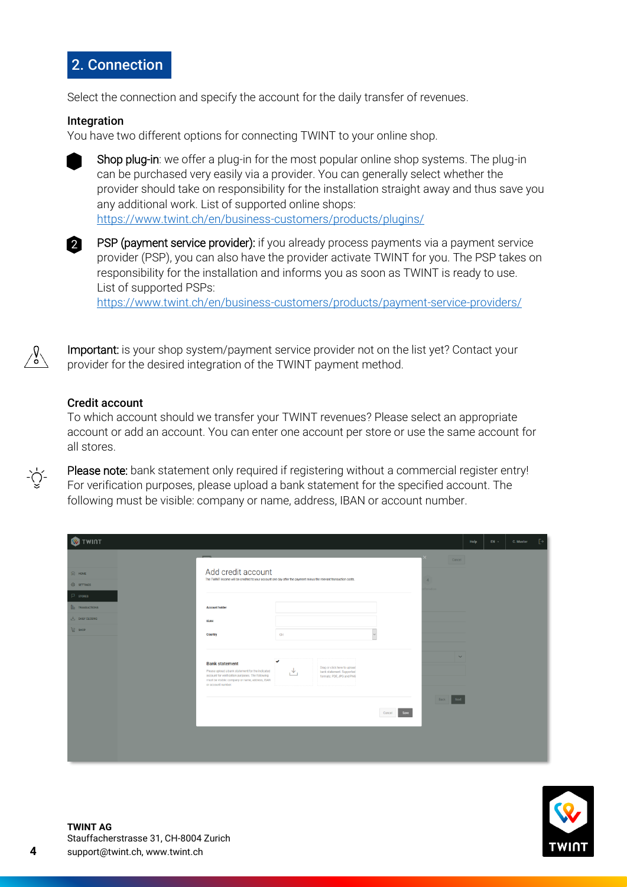

Select the connection and specify the account for the daily transfer of revenues.

## Integration

You have two different options for connecting TWINT to your online shop.



Shop plug-in: we offer a plug-in for the most popular online shop systems. The plug-in can be purchased very easily via a provider. You can generally select whether the provider should take on responsibility for the installation straight away and thus save you any additional work. List of supported online shops: [https://www.twint.ch/en/business-customers/products/plugins/](https://www.twint.ch/geschaeftskunden/produkte/plugins/)



PSP (payment service provider): if you already process payments via a payment service provider (PSP), you can also have the provider activate TWINT for you. The PSP takes on responsibility for the installation and informs you as soon as TWINT is ready to use. List of supported PSPs:

[https://www.twint.ch/en/business-customers/products/payment-service-providers/](https://www.twint.ch/geschaeftskunden/produkte/payment-service-provider/)



-`Č`

Important: is your shop system/payment service provider not on the list yet? Contact your provider for the desired integration of the TWINT payment method.

#### Credit account

To which account should we transfer your TWINT revenues? Please select an appropriate account or add an account. You can enter one account per store or use the same account for all stores.

Please note: bank statement only required if registering without a commercial register entry! For verification purposes, please upload a bank statement for the specified account. The following must be visible: company or name, address, IBAN or account number.

| <b>W</b> TWINT                                 |                                                                                                                                                        |                |                     | Help | $EN +$ | C. Muster | 「→ |
|------------------------------------------------|--------------------------------------------------------------------------------------------------------------------------------------------------------|----------------|---------------------|------|--------|-----------|----|
|                                                |                                                                                                                                                        |                | Cancel              |      |        |           |    |
| $\widehat{[a]}$ HOME                           | Add credit account<br>The TWINT income will be credited to your account one day after the payment minus the relevant transaction costs.                | $\overline{4}$ |                     |      |        |           |    |
| <b>O</b> SETTINGS                              |                                                                                                                                                        |                | Imation             |      |        |           |    |
| $P$ stores                                     |                                                                                                                                                        |                |                     |      |        |           |    |
| <b>ID</b> TRANSACTIONS<br><b>DAILY CLOSING</b> | <b>Account holder</b>                                                                                                                                  |                |                     |      |        |           |    |
| $\frac{13}{14}$ SHOP                           | <b>IBAN</b>                                                                                                                                            |                |                     |      |        |           |    |
|                                                | Country<br>CH                                                                                                                                          |                |                     |      |        |           |    |
|                                                |                                                                                                                                                        |                | $\checkmark$        |      |        |           |    |
|                                                | <b>Bank statement</b><br>Drag or click here to upload<br>Please upload a bank statement for the indicated<br>bank statement. Supported<br>₩            |                |                     |      |        |           |    |
|                                                | account for verification purposes. The following<br>formats: PDF, JPG and PNG<br>must be visible: company or name, address, IBAN<br>or account number. |                |                     |      |        |           |    |
|                                                |                                                                                                                                                        |                |                     |      |        |           |    |
|                                                |                                                                                                                                                        |                | Next<br><b>Back</b> |      |        |           |    |
|                                                |                                                                                                                                                        | Cancel<br>Save |                     |      |        |           |    |
|                                                |                                                                                                                                                        |                |                     |      |        |           |    |
|                                                |                                                                                                                                                        |                |                     |      |        |           |    |
|                                                |                                                                                                                                                        |                |                     |      |        |           |    |

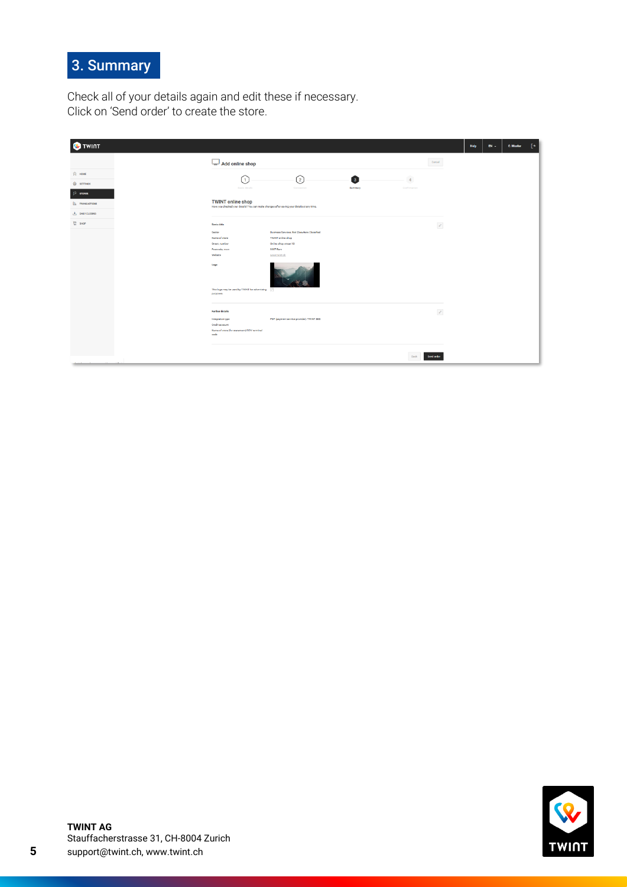## 3. Summary

Check all of your details again and edit these if necessary. Click on 'Send order' to create the store.

| <b>W</b> TWINT         |                                                                                                                        |                                                    |                 |              |                   | Help | $EN -$ | C. Muster |
|------------------------|------------------------------------------------------------------------------------------------------------------------|----------------------------------------------------|-----------------|--------------|-------------------|------|--------|-----------|
|                        | Add online shop                                                                                                        |                                                    |                 |              | Cancel            |      |        |           |
| $\widehat{[2]}$ HOME   |                                                                                                                        | $\odot$                                            | $\vert 3 \vert$ | 4            |                   |      |        |           |
| @ SETTINGS             | C<br>Basio details                                                                                                     | Connection                                         | Summary         | Confirmation |                   |      |        |           |
| $\vert 2 \vert$ stores |                                                                                                                        |                                                    |                 |              |                   |      |        |           |
| <b>ID</b> TRANSACTIONS | <b>TWINT online shop</b><br>Have you checked your details? You can make changes after saving your details at any time. |                                                    |                 |              |                   |      |        |           |
| <b>さ</b> DAILY CLOSING |                                                                                                                        |                                                    |                 |              |                   |      |        |           |
| $F =$ зное             | <b>Basic data</b>                                                                                                      |                                                    |                 |              | $\mathcal{O}$     |      |        |           |
|                        | Sector                                                                                                                 | <b>Business Services, Not Elsewhere Classified</b> |                 |              |                   |      |        |           |
|                        | Name of store                                                                                                          | <b>TWINT</b> online shop                           |                 |              |                   |      |        |           |
|                        | Street, number                                                                                                         | Online shop street 10                              |                 |              |                   |      |        |           |
|                        | Postcode, town<br>Website                                                                                              | 3007 Bern<br>www.twint.ch                          |                 |              |                   |      |        |           |
|                        | Logo                                                                                                                   |                                                    |                 |              |                   |      |        |           |
|                        | This logo may be used by TWINT for advertising [V]<br>ригровев.                                                        |                                                    |                 |              |                   |      |        |           |
|                        | <b>Further details</b>                                                                                                 |                                                    |                 |              | $\mathcal{O}$     |      |        |           |
|                        | Integration type                                                                                                       | PSP (payment service provider): TWINT SBS          |                 |              |                   |      |        |           |
|                        | Credit account                                                                                                         |                                                    |                 |              |                   |      |        |           |
|                        | Name of store (for statement)/CCV terminal<br>code                                                                     |                                                    |                 |              |                   |      |        |           |
|                        |                                                                                                                        |                                                    |                 |              |                   |      |        |           |
|                        |                                                                                                                        |                                                    |                 | Back         | <b>Send order</b> |      |        |           |

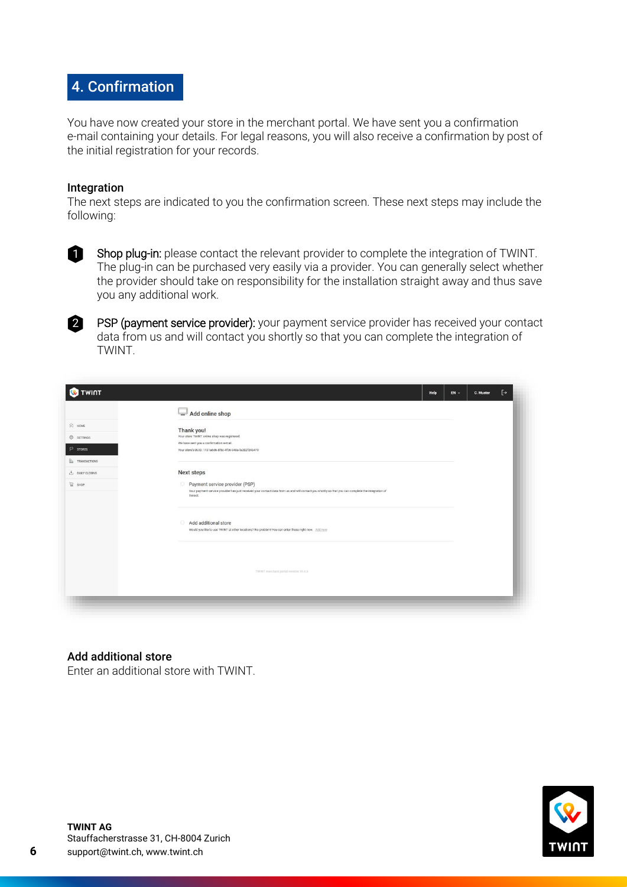## 4. Confirmation

You have now created your store in the merchant portal. We have sent you a confirmation e-mail containing your details. For legal reasons, you will also receive a confirmation by post of the initial registration for your records.

#### Integration

The next steps are indicated to you the confirmation screen. These next steps may include the following:



Shop plug-in: please contact the relevant provider to complete the integration of TWINT. The plug-in can be purchased very easily via a provider. You can generally select whether the provider should take on responsibility for the installation straight away and thus save you any additional work.

PSP (payment service provider): your payment service provider has received your contact data from us and will contact you shortly so that you can complete the integration of TWINT. 2

|                        | Add online shop                                                                                                                                              |  |  |
|------------------------|--------------------------------------------------------------------------------------------------------------------------------------------------------------|--|--|
| $\widehat{[n]}$ HOME   | Thank you!                                                                                                                                                   |  |  |
| SETTINGS               | Your store TWINT online shop was registered.                                                                                                                 |  |  |
| $P$ stores             | We have sent you a confirmation e-mail.<br>Your store's UUID: 1131a6d6-8f5c-4f06-948a-fa202f24b479                                                           |  |  |
| <b>Ib</b> TRANSACTIONS |                                                                                                                                                              |  |  |
| $+$ DAILY CLOSING      | <b>Next steps</b>                                                                                                                                            |  |  |
| $\Xi$ shop             | Payment service provider (PSP)                                                                                                                               |  |  |
|                        | Your payment service provider has just received your contact data from us and will contact you shortly so that you can complete the integration of<br>TWINT. |  |  |
|                        | Add additional store<br>Would you like to use TWINT at other locations? No problem! You can enter these right now. Add now                                   |  |  |
|                        | TWINT merchant portal version 10.4.5                                                                                                                         |  |  |
|                        |                                                                                                                                                              |  |  |

## Add additional store

Enter an additional store with TWINT.